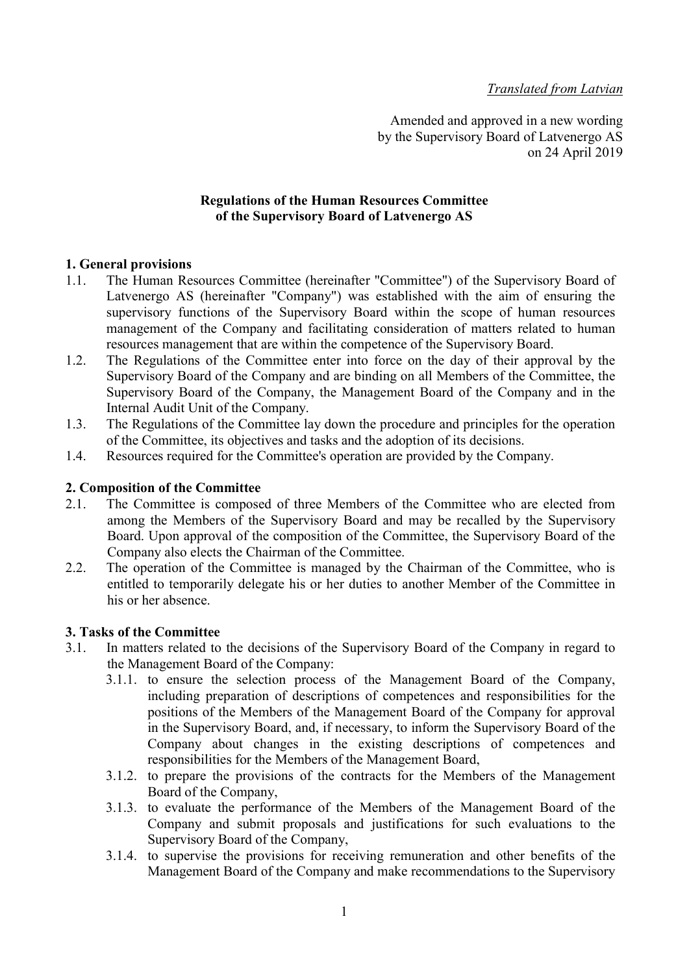# Translated from Latvian

Amended and approved in a new wording by the Supervisory Board of Latvenergo AS on 24 April 2019

## Regulations of the Human Resources Committee of the Supervisory Board of Latvenergo AS

# 1. General provisions

- 1.1. The Human Resources Committee (hereinafter "Committee") of the Supervisory Board of Latvenergo AS (hereinafter "Company") was established with the aim of ensuring the supervisory functions of the Supervisory Board within the scope of human resources management of the Company and facilitating consideration of matters related to human resources management that are within the competence of the Supervisory Board.
- 1.2. The Regulations of the Committee enter into force on the day of their approval by the Supervisory Board of the Company and are binding on all Members of the Committee, the Supervisory Board of the Company, the Management Board of the Company and in the Internal Audit Unit of the Company.
- 1.3. The Regulations of the Committee lay down the procedure and principles for the operation of the Committee, its objectives and tasks and the adoption of its decisions.
- 1.4. Resources required for the Committee's operation are provided by the Company.

## 2. Composition of the Committee

- 2.1. The Committee is composed of three Members of the Committee who are elected from among the Members of the Supervisory Board and may be recalled by the Supervisory Board. Upon approval of the composition of the Committee, the Supervisory Board of the Company also elects the Chairman of the Committee.
- 2.2. The operation of the Committee is managed by the Chairman of the Committee, who is entitled to temporarily delegate his or her duties to another Member of the Committee in his or her absence.

#### 3. Tasks of the Committee

- 3.1. In matters related to the decisions of the Supervisory Board of the Company in regard to the Management Board of the Company:
	- 3.1.1. to ensure the selection process of the Management Board of the Company, including preparation of descriptions of competences and responsibilities for the positions of the Members of the Management Board of the Company for approval in the Supervisory Board, and, if necessary, to inform the Supervisory Board of the Company about changes in the existing descriptions of competences and responsibilities for the Members of the Management Board,
	- 3.1.2. to prepare the provisions of the contracts for the Members of the Management Board of the Company,
	- 3.1.3. to evaluate the performance of the Members of the Management Board of the Company and submit proposals and justifications for such evaluations to the Supervisory Board of the Company,
	- 3.1.4. to supervise the provisions for receiving remuneration and other benefits of the Management Board of the Company and make recommendations to the Supervisory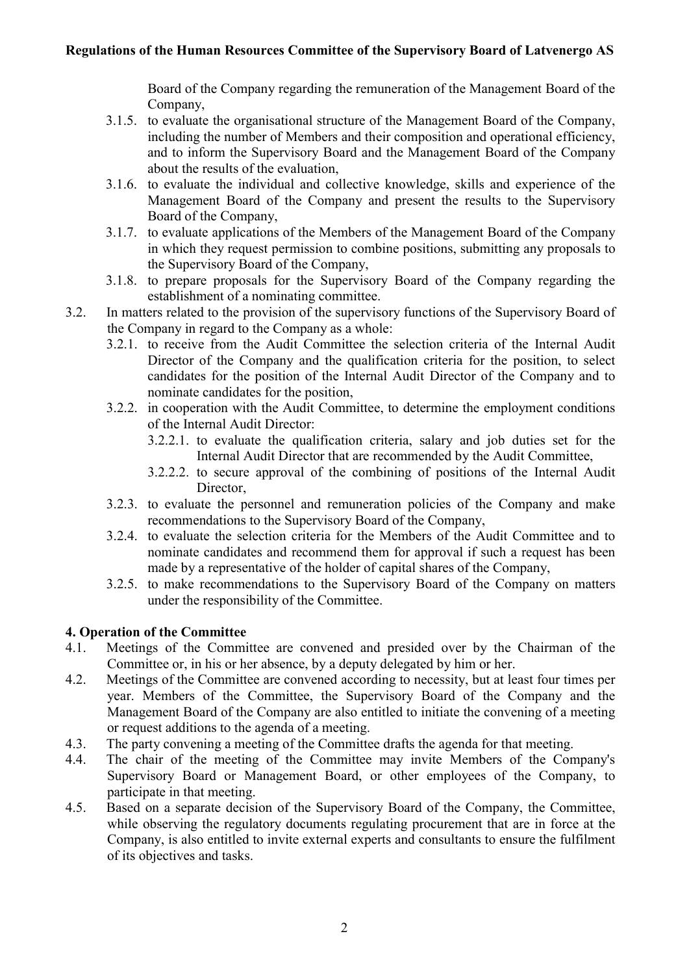Board of the Company regarding the remuneration of the Management Board of the Company,

- 3.1.5. to evaluate the organisational structure of the Management Board of the Company, including the number of Members and their composition and operational efficiency, and to inform the Supervisory Board and the Management Board of the Company about the results of the evaluation,
- 3.1.6. to evaluate the individual and collective knowledge, skills and experience of the Management Board of the Company and present the results to the Supervisory Board of the Company,
- 3.1.7. to evaluate applications of the Members of the Management Board of the Company in which they request permission to combine positions, submitting any proposals to the Supervisory Board of the Company,
- 3.1.8. to prepare proposals for the Supervisory Board of the Company regarding the establishment of a nominating committee.
- 3.2. In matters related to the provision of the supervisory functions of the Supervisory Board of the Company in regard to the Company as a whole:
	- 3.2.1. to receive from the Audit Committee the selection criteria of the Internal Audit Director of the Company and the qualification criteria for the position, to select candidates for the position of the Internal Audit Director of the Company and to nominate candidates for the position,
	- 3.2.2. in cooperation with the Audit Committee, to determine the employment conditions of the Internal Audit Director:
		- 3.2.2.1. to evaluate the qualification criteria, salary and job duties set for the Internal Audit Director that are recommended by the Audit Committee,
		- 3.2.2.2. to secure approval of the combining of positions of the Internal Audit Director,
	- 3.2.3. to evaluate the personnel and remuneration policies of the Company and make recommendations to the Supervisory Board of the Company,
	- 3.2.4. to evaluate the selection criteria for the Members of the Audit Committee and to nominate candidates and recommend them for approval if such a request has been made by a representative of the holder of capital shares of the Company,
	- 3.2.5. to make recommendations to the Supervisory Board of the Company on matters under the responsibility of the Committee.

# 4. Operation of the Committee

- 4.1. Meetings of the Committee are convened and presided over by the Chairman of the Committee or, in his or her absence, by a deputy delegated by him or her.
- 4.2. Meetings of the Committee are convened according to necessity, but at least four times per year. Members of the Committee, the Supervisory Board of the Company and the Management Board of the Company are also entitled to initiate the convening of a meeting or request additions to the agenda of a meeting.
- 4.3. The party convening a meeting of the Committee drafts the agenda for that meeting.
- 4.4. The chair of the meeting of the Committee may invite Members of the Company's Supervisory Board or Management Board, or other employees of the Company, to participate in that meeting.
- 4.5. Based on a separate decision of the Supervisory Board of the Company, the Committee, while observing the regulatory documents regulating procurement that are in force at the Company, is also entitled to invite external experts and consultants to ensure the fulfilment of its objectives and tasks.